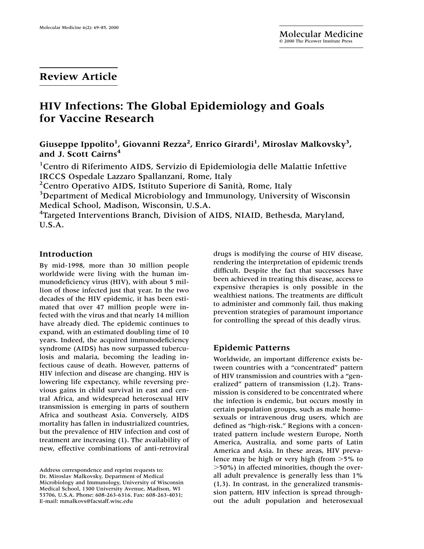## **Review Article**

# **HIV Infections: The Global Epidemiology and Goals for Vaccine Research**

Giuseppe Ippolito<sup>1</sup>, Giovanni Rezza<sup>2</sup>, Enrico Girardi<sup>1</sup>, Miroslav Malkovsky<sup>3</sup>, **and J. Scott Cairns4**

<sup>1</sup> Centro di Riferimento AIDS, Servizio di Epidemiologia delle Malattie Infettive IRCCS Ospedale Lazzaro Spallanzani, Rome, Italy

2 Centro Operativo AIDS, Istituto Superiore di Sanità, Rome, Italy

<sup>3</sup>Department of Medical Microbiology and Immunology, University of Wisconsin Medical School, Madison, Wisconsin, U.S.A.

<sup>4</sup>Targeted Interventions Branch, Division of AIDS, NIAID, Bethesda, Maryland, U.S.A.

### **Introduction**

By mid-1998, more than 30 million people worldwide were living with the human immunodeficiency virus (HIV), with about 5 million of those infected just that year. In the two decades of the HIV epidemic, it has been estimated that over 47 million people were infected with the virus and that nearly 14 million have already died. The epidemic continues to expand, with an estimated doubling time of 10 years. Indeed, the acquired immunodeficiency syndrome (AIDS) has now surpassed tuberculosis and malaria, becoming the leading infectious cause of death. However, patterns of HIV infection and disease are changing. HIV is lowering life expectancy, while reversing previous gains in child survival in east and central Africa, and widespread heterosexual HIV transmission is emerging in parts of southern Africa and southeast Asia. Conversely, AIDS mortality has fallen in industrialized countries, but the prevalence of HIV infection and cost of treatment are increasing (1). The availability of new, effective combinations of anti-retroviral

Address correspondence and reprint requests to: Dr. Miroslav Malkovsky, Department of Medical Microbiology and Immunology, University of Wisconsin Medical School, 1300 University Avenue, Madison, WI 53706, U.S.A. Phone: 608-263-6316. Fax: 608-263-4031; E-mail: mmalkovs@facstaff.wisc.edu

drugs is modifying the course of HIV disease, rendering the interpretation of epidemic trends difficult. Despite the fact that successes have been achieved in treating this disease, access to expensive therapies is only possible in the wealthiest nations. The treatments are difficult to administer and commonly fail, thus making prevention strategies of paramount importance for controlling the spread of this deadly virus.

### **Epidemic Patterns**

Worldwide, an important difference exists between countries with a "concentrated" pattern of HIV transmission and countries with a "generalized" pattern of transmission (1,2). Transmission is considered to be concentrated where the infection is endemic, but occurs mostly in certain population groups, such as male homosexuals or intravenous drug users, which are defined as "high-risk." Regions with a concentrated pattern include western Europe, North America, Australia, and some parts of Latin America and Asia. In these areas, HIV prevalence may be high or very high (from  $>5\%$  to -50%) in affected minorities, though the overall adult prevalence is generally less than 1% (1,3). In contrast, in the generalized transmission pattern, HIV infection is spread throughout the adult population and heterosexual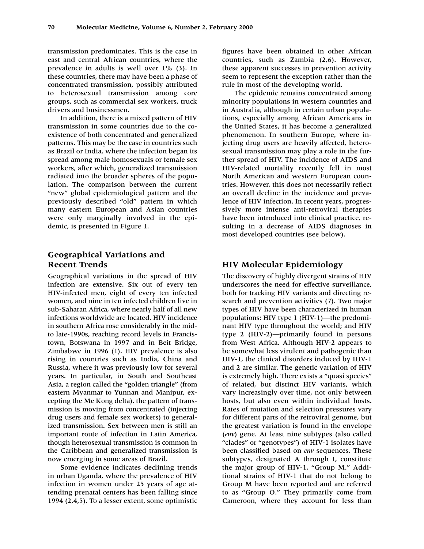transmission predominates. This is the case in east and central African countries, where the prevalence in adults is well over 1% (3). In these countries, there may have been a phase of concentrated transmission, possibly attributed to heterosexual transmission among core groups, such as commercial sex workers, truck drivers and businessmen.

In addition, there is a mixed pattern of HIV transmission in some countries due to the coexistence of both concentrated and generalized patterns. This may be the case in countries such as Brazil or India, where the infection began its spread among male homosexuals or female sex workers, after which, generalized transmission radiated into the broader spheres of the population. The comparison between the current "new" global epidemiological pattern and the previously described "old" pattern in which many eastern European and Asian countries were only marginally involved in the epidemic, is presented in Figure 1.

### **Geographical Variations and Recent Trends**

Geographical variations in the spread of HIV infection are extensive. Six out of every ten HIV-infected men, eight of every ten infected women, and nine in ten infected children live in sub-Saharan Africa, where nearly half of all new infections worldwide are located. HIV incidence in southern Africa rose considerably in the midto late-1990s, reaching record levels in Francistown, Botswana in 1997 and in Beit Bridge, Zimbabwe in 1996 (1). HIV prevalence is also rising in countries such as India, China and Russia, where it was previously low for several years. In particular, in South and Southeast Asia, a region called the "golden triangle" (from eastern Myanmar to Yunnan and Manipur, excepting the Me Kong delta), the pattern of transmission is moving from concentrated (injecting drug users and female sex workers) to generalized transmission. Sex between men is still an important route of infection in Latin America, though heterosexual transmission is common in the Caribbean and generalized transmission is now emerging in some areas of Brazil.

Some evidence indicates declining trends in urban Uganda, where the prevalence of HIV infection in women under 25 years of age attending prenatal centers has been falling since 1994 (2,4,5). To a lesser extent, some optimistic figures have been obtained in other African countries, such as Zambia (2,6). However, these apparent successes in prevention activity seem to represent the exception rather than the rule in most of the developing world.

The epidemic remains concentrated among minority populations in western countries and in Australia, although in certain urban populations, especially among African Americans in the United States, it has become a generalized phenomenon. In southern Europe, where injecting drug users are heavily affected, heterosexual transmission may play a role in the further spread of HIV. The incidence of AIDS and HIV-related mortality recently fell in most North American and western European countries. However, this does not necessarily reflect an overall decline in the incidence and prevalence of HIV infection. In recent years, progressively more intense anti-retroviral therapies have been introduced into clinical practice, resulting in a decrease of AIDS diagnoses in most developed countries (see below).

### **HIV Molecular Epidemiology**

The discovery of highly divergent strains of HIV underscores the need for effective surveillance, both for tracking HIV variants and directing research and prevention activities (7). Two major types of HIV have been characterized in human populations: HIV type 1 (HIV-1)—the predominant HIV type throughout the world; and HIV type 2 (HIV-2)—primarily found in persons from West Africa. Although HIV-2 appears to be somewhat less virulent and pathogenic than HIV-1, the clinical disorders induced by HIV-1 and 2 are similar. The genetic variation of HIV is extremely high. There exists a "quasi species" of related, but distinct HIV variants, which vary increasingly over time, not only between hosts, but also even within individual hosts. Rates of mutation and selection pressures vary for different parts of the retroviral genome, but the greatest variation is found in the envelope (*env*) gene. At least nine subtypes (also called "clades" or "genotypes") of HIV-1 isolates have been classified based on *env* sequences. These subtypes, designated A through I, constitute the major group of HIV-1, "Group M." Additional strains of HIV-1 that do not belong to Group M have been reported and are referred to as "Group O." They primarily come from Cameroon, where they account for less than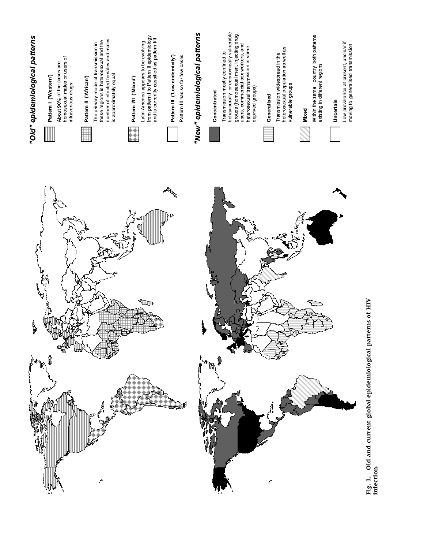

Fig. 1. Old and current global epidemiological patterns of HIV<br>infection. **Fig. 1. Old and current global epidemiological patterns of HIV infection.**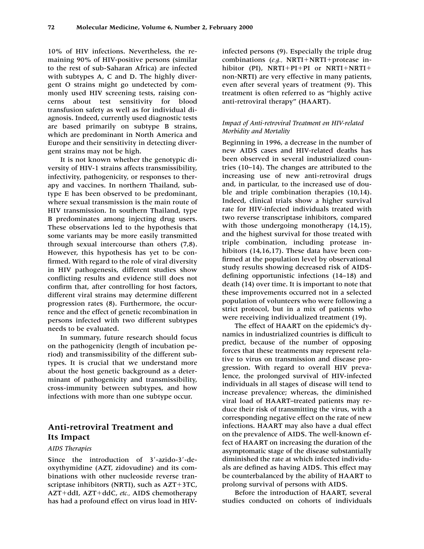10% of HIV infections. Nevertheless, the remaining 90% of HIV-positive persons (similar to the rest of sub-Saharan Africa) are infected with subtypes A, C and D. The highly divergent O strains might go undetected by commonly used HIV screening tests, raising concerns about test sensitivity for blood transfusion safety as well as for individual diagnosis. Indeed, currently used diagnostic tests are based primarily on subtype B strains, which are predominant in North America and Europe and their sensitivity in detecting divergent strains may not be high.

It is not known whether the genotypic diversity of HIV-1 strains affects transmissibility, infectivity, pathogenicity, or responses to therapy and vaccines. In northern Thailand, subtype E has been observed to be predominant, where sexual transmission is the main route of HIV transmission. In southern Thailand, type B predominates among injecting drug users. These observations led to the hypothesis that some variants may be more easily transmitted through sexual intercourse than others (7,8). However, this hypothesis has yet to be confirmed. With regard to the role of viral diversity in HIV pathogenesis, different studies show conflicting results and evidence still does not confirm that, after controlling for host factors, different viral strains may determine different progression rates (8). Furthermore, the occurrence and the effect of genetic recombination in persons infected with two different subtypes needs to be evaluated.

In summary, future research should focus on the pathogenicity (length of incubation period) and transmissibility of the different subtypes. It is crucial that we understand more about the host genetic background as a determinant of pathogenicity and transmissibility, cross-immunity between subtypes, and how infections with more than one subtype occur.

### **Anti-retroviral Treatment and Its Impact**

#### *AIDS Therapies*

Since the introduction of 3'-azido-3'-deoxythymidine (AZT, zidovudine) and its combinations with other nucleoside reverse transcriptase inhibitors (NRTI), such as  $AZT+3TC$ , AZT+ddI, AZT+ddC, etc., AIDS chemotherapy has had a profound effect on virus load in HIV-

infected persons (9). Especially the triple drug combinations (e.g., NRTI+NRTI+protease inhibitor (PI),  $NRTI+PI+PI$  or  $NRTI+NRTI+$ non-NRTI) are very effective in many patients, even after several years of treatment (9). This treatment is often referred to as "highly active anti-retroviral therapy" (HAART).

### *Impact of Anti-retroviral Treatment on HIV-related Morbidity and Mortality*

Beginning in 1996, a decrease in the number of new AIDS cases and HIV-related deaths has been observed in several industrialized countries (10–14). The changes are attributed to the increasing use of new anti-retroviral drugs and, in particular, to the increased use of double and triple combination therapies (10,14). Indeed, clinical trials show a higher survival rate for HIV-infected individuals treated with two reverse transcriptase inhibitors, compared with those undergoing monotherapy  $(14,15)$ , and the highest survival for those treated with triple combination, including protease inhibitors (14,16,17). These data have been confirmed at the population level by observational study results showing decreased risk of AIDSdefining opportunistic infections (14–18) and death (14) over time. It is important to note that these improvements occurred not in a selected population of volunteers who were following a strict protocol, but in a mix of patients who were receiving individualized treatment (19).

The effect of HAART on the epidemic's dynamics in industrialized countries is difficult to predict, because of the number of opposing forces that these treatments may represent relative to virus on transmission and disease progression. With regard to overall HIV prevalence, the prolonged survival of HIV-infected individuals in all stages of disease will tend to increase prevalence; whereas, the diminished viral load of HAART–treated patients may reduce their risk of transmitting the virus, with a corresponding negative effect on the rate of new infections. HAART may also have a dual effect on the prevalence of AIDS. The well-known effect of HAART on increasing the duration of the asymptomatic stage of the disease substantially diminished the rate at which infected individuals are defined as having AIDS. This effect may be counterbalanced by the ability of HAART to prolong survival of persons with AIDS.

Before the introduction of HAART, several studies conducted on cohorts of individuals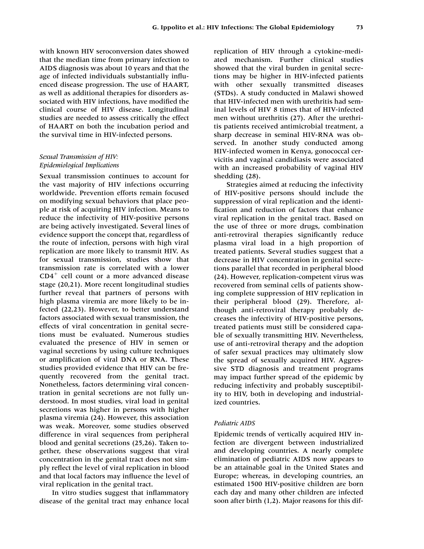with known HIV seroconversion dates showed that the median time from primary infection to AIDS diagnosis was about 10 years and that the age of infected individuals substantially influenced disease progression. The use of HAART, as well as additional therapies for disorders associated with HIV infections, have modified the clinical course of HIV disease. Longitudinal studies are needed to assess critically the effect of HAART on both the incubation period and the survival time in HIV-infected persons.

### *Sexual Transmission of HIV: Epidemiological Implications*

Sexual transmission continues to account for the vast majority of HIV infections occurring worldwide. Prevention efforts remain focused on modifying sexual behaviors that place people at risk of acquiring HIV infection. Means to reduce the infectivity of HIV-positive persons are being actively investigated. Several lines of evidence support the concept that, regardless of the route of infection, persons with high viral replication are more likely to transmit HIV. As for sexual transmission, studies show that transmission rate is correlated with a lower  $CD4<sup>+</sup>$  cell count or a more advanced disease stage (20,21). More recent longitudinal studies further reveal that partners of persons with high plasma viremia are more likely to be infected (22,23). However, to better understand factors associated with sexual transmission, the effects of viral concentration in genital secretions must be evaluated. Numerous studies evaluated the presence of HIV in semen or vaginal secretions by using culture techniques or amplification of viral DNA or RNA. These studies provided evidence that HIV can be frequently recovered from the genital tract. Nonetheless, factors determining viral concentration in genital secretions are not fully understood. In most studies, viral load in genital secretions was higher in persons with higher plasma viremia (24). However, this association was weak. Moreover, some studies observed difference in viral sequences from peripheral blood and genital secretions (25,26). Taken together, these observations suggest that viral concentration in the genital tract does not simply reflect the level of viral replication in blood and that local factors may influence the level of viral replication in the genital tract.

In vitro studies suggest that inflammatory disease of the genital tract may enhance local

replication of HIV through a cytokine-mediated mechanism. Further clinical studies showed that the viral burden in genital secretions may be higher in HIV-infected patients with other sexually transmitted diseases (STDs). A study conducted in Malawi showed that HIV-infected men with urethritis had seminal levels of HIV 8 times that of HIV-infected men without urethritis (27). After the urethritis patients received antimicrobial treatment, a sharp decrease in seminal HIV-RNA was observed. In another study conducted among HIV-infected women in Kenya, gonococcal cervicitis and vaginal candidiasis were associated with an increased probability of vaginal HIV shedding (28).

Strategies aimed at reducing the infectivity of HIV-positive persons should include the suppression of viral replication and the identification and reduction of factors that enhance viral replication in the genital tract. Based on the use of three or more drugs, combination anti-retroviral therapies significantly reduce plasma viral load in a high proportion of treated patients. Several studies suggest that a decrease in HIV concentration in genital secretions parallel that recorded in peripheral blood (24). However, replication-competent virus was recovered from seminal cells of patients showing complete suppression of HIV replication in their peripheral blood (29). Therefore, although anti-retroviral therapy probably decreases the infectivity of HIV-positive persons, treated patients must still be considered capable of sexually transmitting HIV. Nevertheless, use of anti-retroviral therapy and the adoption of safer sexual practices may ultimately slow the spread of sexually acquired HIV. Aggressive STD diagnosis and treatment programs may impact further spread of the epidemic by reducing infectivity and probably susceptibility to HIV, both in developing and industrialized countries.

### *Pediatric AIDS*

Epidemic trends of vertically acquired HIV infection are divergent between industrialized and developing countries. A nearly complete elimination of pediatric AIDS now appears to be an attainable goal in the United States and Europe; whereas, in developing countries, an estimated 1500 HIV-positive children are born each day and many other children are infected soon after birth (1,2). Major reasons for this dif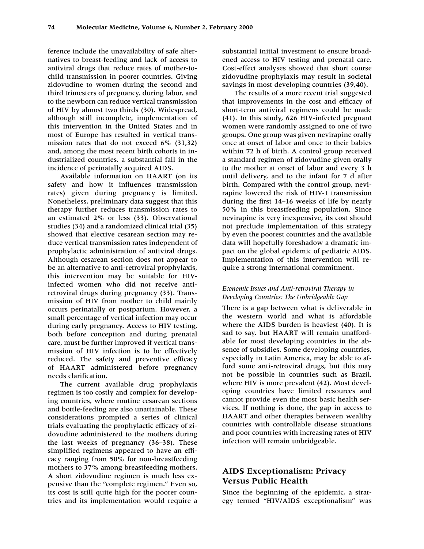ference include the unavailability of safe alternatives to breast-feeding and lack of access to antiviral drugs that reduce rates of mother-tochild transmission in poorer countries. Giving zidovudine to women during the second and third trimesters of pregnancy, during labor, and to the newborn can reduce vertical transmission of HIV by almost two thirds (30). Widespread, although still incomplete, implementation of this intervention in the United States and in most of Europe has resulted in vertical transmission rates that do not exceed 6% (31,32) and, among the most recent birth cohorts in industrialized countries, a substantial fall in the incidence of perinatally acquired AIDS.

Available information on HAART (on its safety and how it influences transmission rates) given during pregnancy is limited. Nonetheless, preliminary data suggest that this therapy further reduces transmission rates to an estimated 2% or less (33). Observational studies (34) and a randomized clinical trial (35) showed that elective cesarean section may reduce vertical transmission rates independent of prophylactic administration of antiviral drugs. Although cesarean section does not appear to be an alternative to anti-retroviral prophylaxis, this intervention may be suitable for HIVinfected women who did not receive antiretroviral drugs during pregnancy (33). Transmission of HIV from mother to child mainly occurs perinatally or postpartum. However, a small percentage of vertical infection may occur during early pregnancy. Access to HIV testing, both before conception and during prenatal care, must be further improved if vertical transmission of HIV infection is to be effectively reduced. The safety and preventive efficacy of HAART administered before pregnancy needs clarification.

The current available drug prophylaxis regimen is too costly and complex for developing countries, where routine cesarean sections and bottle-feeding are also unattainable. These considerations prompted a series of clinical trials evaluating the prophylactic efficacy of zidovudine administered to the mothers during the last weeks of pregnancy (36–38). These simplified regimens appeared to have an efficacy ranging from 50% for non-breastfeeding mothers to 37% among breastfeeding mothers. A short zidovudine regimen is much less expensive than the "complete regimen." Even so, its cost is still quite high for the poorer countries and its implementation would require a

substantial initial investment to ensure broadened access to HIV testing and prenatal care. Cost-effect analyses showed that short course zidovudine prophylaxis may result in societal savings in most developing countries (39,40).

The results of a more recent trial suggested that improvements in the cost and efficacy of short-term antiviral regimens could be made (41). In this study, 626 HIV-infected pregnant women were randomly assigned to one of two groups. One group was given nevirapine orally once at onset of labor and once to their babies within 72 h of birth. A control group received a standard regimen of zidovudine given orally to the mother at onset of labor and every 3 h until delivery, and to the infant for 7 d after birth. Compared with the control group, nevirapine lowered the risk of HIV-1 transmission during the first 14–16 weeks of life by nearly 50% in this breastfeeding population. Since nevirapine is very inexpensive, its cost should not preclude implementation of this strategy by even the poorest countries and the available data will hopefully foreshadow a dramatic impact on the global epidemic of pediatric AIDS. Implementation of this intervention will require a strong international commitment.

#### *Economic Issues and Anti-retroviral Therapy in Developing Countries: The Unbridgeable Gap*

There is a gap between what is deliverable in the western world and what is affordable where the AIDS burden is heaviest (40). It is sad to say, but HAART will remain unaffordable for most developing countries in the absence of subsidies. Some developing countries, especially in Latin America, may be able to afford some anti-retroviral drugs, but this may not be possible in countries such as Brazil, where HIV is more prevalent (42). Most developing countries have limited resources and cannot provide even the most basic health services. If nothing is done, the gap in access to HAART and other therapies between wealthy countries with controllable disease situations and poor countries with increasing rates of HIV infection will remain unbridgeable.

### **AIDS Exceptionalism: Privacy Versus Public Health**

Since the beginning of the epidemic, a strategy termed "HIV/AIDS exceptionalism" was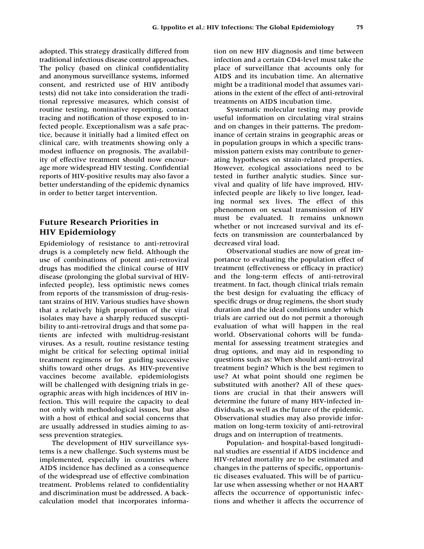adopted. This strategy drastically differed from traditional infectious disease control approaches. The policy (based on clinical confidentiality and anonymous surveillance systems, informed consent, and restricted use of HIV antibody tests) did not take into consideration the traditional repressive measures, which consist of routine testing, nominative reporting, contact tracing and notification of those exposed to infected people. Exceptionalism was a safe practice, because it initially had a limited effect on clinical care, with treatments showing only a modest influence on prognosis. The availability of effective treatment should now encourage more widespread HIV testing. Confidential reports of HIV-positive results may also favor a better understanding of the epidemic dynamics in order to better target intervention.

### **Future Research Priorities in HIV Epidemiology**

Epidemiology of resistance to anti-retroviral drugs is a completely new field. Although the use of combinations of potent anti-retroviral drugs has modified the clinical course of HIV disease (prolonging the global survival of HIVinfected people), less optimistic news comes from reports of the transmission of drug-resistant strains of HIV. Various studies have shown that a relatively high proportion of the viral isolates may have a sharply reduced susceptibility to anti-retroviral drugs and that some patients are infected with multidrug-resistant viruses. As a result, routine resistance testing might be critical for selecting optimal initial treatment regimens or for guiding successive shifts toward other drugs. As HIV-preventive vaccines become available, epidemiologists will be challenged with designing trials in geographic areas with high incidences of HIV infection. This will require the capacity to deal not only with methodological issues, but also with a host of ethical and social concerns that are usually addressed in studies aiming to assess prevention strategies.

The development of HIV surveillance systems is a new challenge. Such systems must be implemented, especially in countries where AIDS incidence has declined as a consequence of the widespread use of effective combination treatment. Problems related to confidentiality and discrimination must be addressed. A backcalculation model that incorporates informa-

tion on new HIV diagnosis and time between infection and a certain CD4-level must take the place of surveillance that accounts only for AIDS and its incubation time. An alternative might be a traditional model that assumes variations in the extent of the effect of anti-retroviral treatments on AIDS incubation time.

Systematic molecular testing may provide useful information on circulating viral strains and on changes in their patterns. The predominance of certain strains in geographic areas or in population groups in which a specific transmission pattern exists may contribute to generating hypotheses on strain-related properties. However, ecological associations need to be tested in further analytic studies. Since survival and quality of life have improved, HIVinfected people are likely to live longer, leading normal sex lives. The effect of this phenomenon on sexual transmission of HIV must be evaluated. It remains unknown whether or not increased survival and its effects on transmission are counterbalanced by decreased viral load.

Observational studies are now of great importance to evaluating the population effect of treatment (effectiveness or efficacy in practice) and the long-term effects of anti-retroviral treatment. In fact, though clinical trials remain the best design for evaluating the efficacy of specific drugs or drug regimens, the short study duration and the ideal conditions under which trials are carried out do not permit a thorough evaluation of what will happen in the real world. Observational cohorts will be fundamental for assessing treatment strategies and drug options, and may aid in responding to questions such as: When should anti-retroviral treatment begin? Which is the best regimen to use? At what point should one regimen be substituted with another? All of these questions are crucial in that their answers will determine the future of many HIV-infected individuals, as well as the future of the epidemic. Observational studies may also provide information on long-term toxicity of anti-retroviral drugs and on interruption of treatments.

Population- and hospital-based longitudinal studies are essential if AIDS incidence and HIV-related mortality are to be estimated and changes in the patterns of specific, opportunistic diseases evaluated. This will be of particular use when assessing whether or not HAART affects the occurrence of opportunistic infections and whether it affects the occurrence of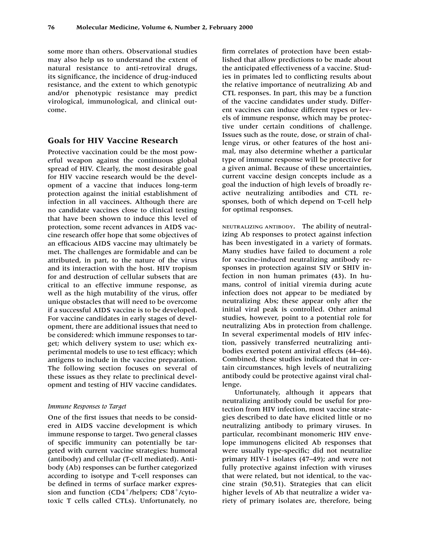some more than others. Observational studies may also help us to understand the extent of natural resistance to anti-retroviral drugs, its significance, the incidence of drug-induced resistance, and the extent to which genotypic and/or phenotypic resistance may predict virological, immunological, and clinical outcome.

### **Goals for HIV Vaccine Research**

Protective vaccination could be the most powerful weapon against the continuous global spread of HIV. Clearly, the most desirable goal for HIV vaccine research would be the development of a vaccine that induces long-term protection against the initial establishment of infection in all vaccinees. Although there are no candidate vaccines close to clinical testing that have been shown to induce this level of protection, some recent advances in AIDS vaccine research offer hope that some objectives of an efficacious AIDS vaccine may ultimately be met. The challenges are formidable and can be attributed, in part, to the nature of the virus and its interaction with the host. HIV tropism for and destruction of cellular subsets that are critical to an effective immune response, as well as the high mutability of the virus, offer unique obstacles that will need to be overcome if a successful AIDS vaccine is to be developed. For vaccine candidates in early stages of development, there are additional issues that need to be considered: which immune responses to target; which delivery system to use; which experimental models to use to test efficacy; which antigens to include in the vaccine preparation. The following section focuses on several of these issues as they relate to preclinical development and testing of HIV vaccine candidates.

#### *Immune Responses to Target*

One of the first issues that needs to be considered in AIDS vaccine development is which immune response to target. Two general classes of specific immunity can potentially be targeted with current vaccine strategies: humoral (antibody) and cellular (T-cell mediated). Antibody (Ab) responses can be further categorized according to isotype and T-cell responses can be defined in terms of surface marker expression and function  $(CD4^+/helpers; CD8^+/cyto$ toxic T cells called CTLs). Unfortunately, no

firm correlates of protection have been established that allow predictions to be made about the anticipated effectiveness of a vaccine. Studies in primates led to conflicting results about the relative importance of neutralizing Ab and CTL responses. In part, this may be a function of the vaccine candidates under study. Different vaccines can induce different types or levels of immune response, which may be protective under certain conditions of challenge. Issues such as the route, dose, or strain of challenge virus, or other features of the host animal, may also determine whether a particular type of immune response will be protective for a given animal. Because of these uncertainties, current vaccine design concepts include as a goal the induction of high levels of broadly reactive neutralizing antibodies and CTL responses, both of which depend on T-cell help for optimal responses.

NEUTRALIZING ANTIBODY. The ability of neutralizing Ab responses to protect against infection has been investigated in a variety of formats. Many studies have failed to document a role for vaccine-induced neutralizing antibody responses in protection against SIV or SHIV infection in non human primates (43). In humans, control of initial viremia during acute infection does not appear to be mediated by neutralizing Abs; these appear only after the initial viral peak is controlled. Other animal studies, however, point to a potential role for neutralizing Abs in protection from challenge. In several experimental models of HIV infection, passively transferred neutralizing antibodies exerted potent antiviral effects (44–46). Combined, these studies indicated that in certain circumstances, high levels of neutralizing antibody could be protective against viral challenge.

Unfortunately, although it appears that neutralizing antibody could be useful for protection from HIV infection, most vaccine strategies described to date have elicited little or no neutralizing antibody to primary viruses. In particular, recombinant monomeric HIV envelope immunogens elicited Ab responses that were usually type-specific; did not neutralize primary HIV-1 isolates (47–49); and were not fully protective against infection with viruses that were related, but not identical, to the vaccine strain (50,51). Strategies that can elicit higher levels of Ab that neutralize a wider variety of primary isolates are, therefore, being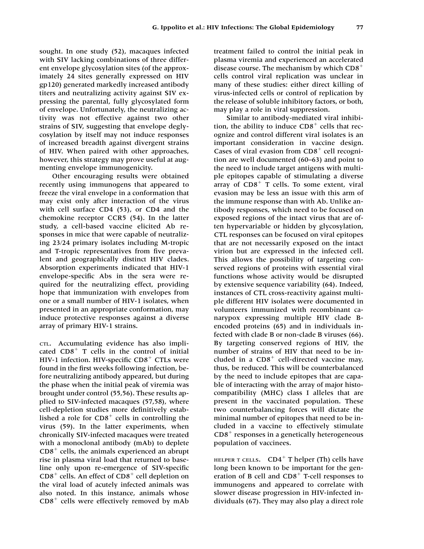sought. In one study (52), macaques infected with SIV lacking combinations of three different envelope glycosylation sites (of the approximately 24 sites generally expressed on HIV gp120) generated markedly increased antibody titers and neutralizing activity against SIV expressing the parental, fully glycosylated form of envelope. Unfortunately, the neutralizing activity was not effective against two other strains of SIV, suggesting that envelope deglycosylation by itself may not induce responses of increased breadth against divergent strains of HIV. When paired with other approaches, however, this strategy may prove useful at augmenting envelope immunogenicity.

Other encouraging results were obtained recently using immunogens that appeared to freeze the viral envelope in a conformation that may exist only after interaction of the virus with cell surface CD4 (53), or CD4 and the chemokine receptor CCR5 (54). In the latter study, a cell-based vaccine elicited Ab responses in mice that were capable of neutralizing 2324 primary isolates including M-tropic and T-tropic representatives from five prevalent and geographically distinct HIV clades. Absorption experiments indicated that HIV-1 envelope-specific Abs in the sera were required for the neutralizing effect, providing hope that immunization with envelopes from one or a small number of HIV-1 isolates, when presented in an appropriate conformation, may induce protective responses against a diverse array of primary HIV-1 strains.

CTL. Accumulating evidence has also implicated  $CDS<sup>+</sup>$  T cells in the control of initial HIV-1 infection. HIV-specific  $CD8<sup>+</sup>$  CTLs were found in the first weeks following infection, before neutralizing antibody appeared, but during the phase when the initial peak of viremia was brought under control (55,56). These results applied to SIV-infected macaques (57,58), where cell-depletion studies more definitively established a role for  $CD8<sup>+</sup>$  cells in controlling the virus (59). In the latter experiments, when chronically SIV-infected macaques were treated with a monoclonal antibody (mAb) to deplete  $CD8<sup>+</sup>$  cells, the animals experienced an abrupt rise in plasma viral load that returned to baseline only upon re-emergence of SIV-specific  $CD8<sup>+</sup>$  cells. An effect of  $CD8<sup>+</sup>$  cell depletion on the viral load of acutely infected animals was also noted. In this instance, animals whose  $CD8<sup>+</sup>$  cells were effectively removed by mAb

treatment failed to control the initial peak in plasma viremia and experienced an accelerated disease course. The mechanism by which CD8 cells control viral replication was unclear in many of these studies: either direct killing of virus-infected cells or control of replication by the release of soluble inhibitory factors, or both, may play a role in viral suppression.

Similar to antibody-mediated viral inhibition, the ability to induce  $CDS<sup>+</sup>$  cells that recognize and control different viral isolates is an important consideration in vaccine design. Cases of viral evasion from  $CD8<sup>+</sup>$  cell recognition are well documented (60–63) and point to the need to include target antigens with multiple epitopes capable of stimulating a diverse array of  $CD8<sup>+</sup>$  T cells. To some extent, viral evasion may be less an issue with this arm of the immune response than with Ab. Unlike antibody responses, which need to be focused on exposed regions of the intact virus that are often hypervariable or hidden by glycosylation, CTL responses can be focused on viral epitopes that are not necessarily exposed on the intact virion but are expressed in the infected cell. This allows the possibility of targeting conserved regions of proteins with essential viral functions whose activity would be disrupted by extensive sequence variability (64). Indeed, instances of CTL cross-reactivity against multiple different HIV isolates were documented in volunteers immunized with recombinant canarypox expressing multiple HIV clade Bencoded proteins (65) and in individuals infected with clade B or non-clade B viruses (66). By targeting conserved regions of HIV, the number of strains of HIV that need to be included in a  $CD8<sup>+</sup>$  cell-directed vaccine may, thus, be reduced. This will be counterbalanced by the need to include epitopes that are capable of interacting with the array of major histocompatibility (MHC) class I alleles that are present in the vaccinated population. These two counterbalancing forces will dictate the minimal number of epitopes that need to be included in a vaccine to effectively stimulate  $CD8<sup>+</sup>$  responses in a genetically heterogeneous population of vaccinees.

HELPER T CELLS.  $CD4^+$  T helper (Th) cells have long been known to be important for the generation of B cell and  $CD8<sup>+</sup>$  T-cell responses to immunogens and appeared to correlate with slower disease progression in HIV-infected individuals (67). They may also play a direct role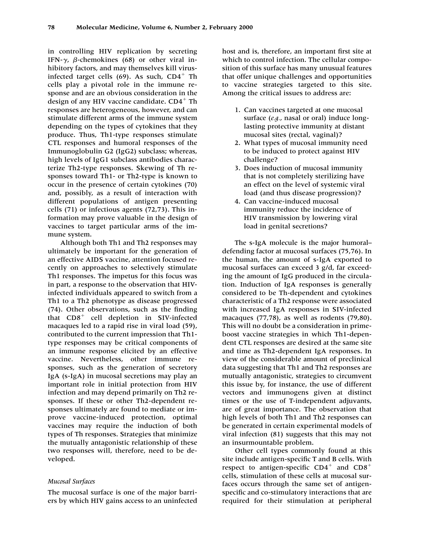in controlling HIV replication by secreting IFN- $\gamma$ ,  $\beta$ -chemokines (68) or other viral inhibitory factors, and may themselves kill virusinfected target cells  $(69)$ . As such,  $CD4^+$  Th cells play a pivotal role in the immune response and are an obvious consideration in the design of any HIV vaccine candidate.  $CD4^+$  Th responses are heterogeneous, however, and can stimulate different arms of the immune system depending on the types of cytokines that they produce. Thus, Th1-type responses stimulate CTL responses and humoral responses of the Immunoglobulin G2 (IgG2) subclass; whereas, high levels of IgG1 subclass antibodies characterize Th2-type responses. Skewing of Th responses toward Th1- or Th2-type is known to occur in the presence of certain cytokines (70) and, possibly, as a result of interaction with different populations of antigen presenting cells (71) or infectious agents (72,73). This information may prove valuable in the design of vaccines to target particular arms of the immune system.

Although both Th1 and Th2 responses may ultimately be important for the generation of an effective AIDS vaccine, attention focused recently on approaches to selectively stimulate Th1 responses. The impetus for this focus was in part, a response to the observation that HIVinfected individuals appeared to switch from a Th1 to a Th2 phenotype as disease progressed (74). Other observations, such as the finding that  $CD8<sup>+</sup>$  cell depletion in SIV-infected macaques led to a rapid rise in viral load (59), contributed to the current impression that Th1 type responses may be critical components of an immune response elicited by an effective vaccine. Nevertheless, other immune responses, such as the generation of secretory IgA (s-IgA) in mucosal secretions may play an important role in initial protection from HIV infection and may depend primarily on Th2 responses. If these or other Th2-dependent responses ultimately are found to mediate or improve vaccine-induced protection, optimal vaccines may require the induction of both types of Th responses. Strategies that minimize the mutually antagonistic relationship of these two responses will, therefore, need to be developed.

#### *Mucosal Surfaces*

The mucosal surface is one of the major barriers by which HIV gains access to an uninfected host and is, therefore, an important first site at which to control infection. The cellular composition of this surface has many unusual features that offer unique challenges and opportunities to vaccine strategies targeted to this site. Among the critical issues to address are:

- 1. Can vaccines targeted at one mucosal surface (*e.g.*, nasal or oral) induce longlasting protective immunity at distant mucosal sites (rectal, vaginal)?
- 2. What types of mucosal immunity need to be induced to protect against HIV challenge?
- 3. Does induction of mucosal immunity that is not completely sterilizing have an effect on the level of systemic viral load (and thus disease progression)?
- 4. Can vaccine-induced mucosal immunity reduce the incidence of HIV transmission by lowering viral load in genital secretions?

The s-IgA molecule is the major humoral– defending factor at mucosal surfaces (75,76). In the human, the amount of s-IgA exported to mucosal surfaces can exceed 3 g/d, far exceeding the amount of IgG produced in the circulation. Induction of IgA responses is generally considered to be Th-dependent and cytokines characteristic of a Th2 response were associated with increased IgA responses in SIV-infected macaques (77,78), as well as rodents (79,80). This will no doubt be a consideration in primeboost vaccine strategies in which Th1-dependent CTL responses are desired at the same site and time as Th2-dependent IgA responses. In view of the considerable amount of preclinical data suggesting that Th1 and Th2 responses are mutually antagonistic, strategies to circumvent this issue by, for instance, the use of different vectors and immunogens given at distinct times or the use of T-independent adjuvants, are of great importance. The observation that high levels of both Th1 and Th2 responses can be generated in certain experimental models of viral infection (81) suggests that this may not an insurmountable problem.

Other cell types commonly found at this site include antigen-specific T and B cells. With respect to antigen-specific  $CD4^+$  and  $CD8^+$ cells, stimulation of these cells at mucosal surfaces occurs through the same set of antigenspecific and co-stimulatory interactions that are required for their stimulation at peripheral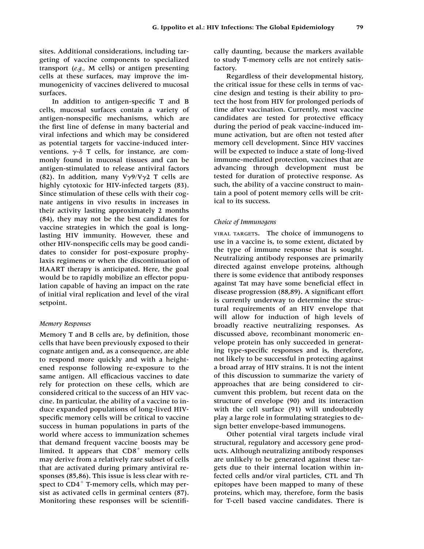sites. Additional considerations, including targeting of vaccine components to specialized transport (*e.g.,* M cells) or antigen presenting cells at these surfaces, may improve the immunogenicity of vaccines delivered to mucosal surfaces.

In addition to antigen-specific T and B cells, mucosal surfaces contain a variety of antigen-nonspecific mechanisms, which are the first line of defense in many bacterial and viral infections and which may be considered as potential targets for vaccine-induced interventions.  $\gamma$ - $\delta$  T cells, for instance, are commonly found in mucosal tissues and can be antigen-stimulated to release antiviral factors (82). In addition, many V $\gamma$ 9/V $\gamma$ 2 T cells are highly cytotoxic for HIV-infected targets (83). Since stimulation of these cells with their cognate antigens in vivo results in increases in their activity lasting approximately 2 months (84), they may not be the best candidates for vaccine strategies in which the goal is longlasting HIV immunity. However, these and other HIV-nonspecific cells may be good candidates to consider for post-exposure prophylaxis regimens or when the discontinuation of HAART therapy is anticipated. Here, the goal would be to rapidly mobilize an effector population capable of having an impact on the rate of initial viral replication and level of the viral setpoint.

#### *Memory Responses*

Memory T and B cells are, by definition, those cells that have been previously exposed to their cognate antigen and, as a consequence, are able to respond more quickly and with a heightened response following re-exposure to the same antigen. All efficacious vaccines to date rely for protection on these cells, which are considered critical to the success of an HIV vaccine. In particular, the ability of a vaccine to induce expanded populations of long-lived HIVspecific memory cells will be critical to vaccine success in human populations in parts of the world where access to immunization schemes that demand frequent vaccine boosts may be limited. It appears that  $CD8<sup>+</sup>$  memory cells may derive from a relatively rare subset of cells that are activated during primary antiviral responses (85,86). This issue is less clear with respect to  $CD4^+$  T-memory cells, which may persist as activated cells in germinal centers (87). Monitoring these responses will be scientifically daunting, because the markers available to study T-memory cells are not entirely satisfactory.

Regardless of their developmental history, the critical issue for these cells in terms of vaccine design and testing is their ability to protect the host from HIV for prolonged periods of time after vaccination. Currently, most vaccine candidates are tested for protective efficacy during the period of peak vaccine-induced immune activation, but are often not tested after memory cell development. Since HIV vaccines will be expected to induce a state of long-lived immune-mediated protection, vaccines that are advancing through development must be tested for duration of protective response. As such, the ability of a vaccine construct to maintain a pool of potent memory cells will be critical to its success.

#### *Choice of Immunogens*

VIRAL TARGETS. The choice of immunogens to use in a vaccine is, to some extent, dictated by the type of immune response that is sought. Neutralizing antibody responses are primarily directed against envelope proteins, although there is some evidence that antibody responses against Tat may have some beneficial effect in disease progression (88,89). A significant effort is currently underway to determine the structural requirements of an HIV envelope that will allow for induction of high levels of broadly reactive neutralizing responses. As discussed above, recombinant monomeric envelope protein has only succeeded in generating type-specific responses and is, therefore, not likely to be successful in protecting against a broad array of HIV strains. It is not the intent of this discussion to summarize the variety of approaches that are being considered to circumvent this problem, but recent data on the structure of envelope (90) and its interaction with the cell surface (91) will undoubtedly play a large role in formulating strategies to design better envelope-based immunogens.

Other potential viral targets include viral structural, regulatory and accessory gene products. Although neutralizing antibody responses are unlikely to be generated against these targets due to their internal location within infected cells and/or viral particles, CTL and Th epitopes have been mapped to many of these proteins, which may, therefore, form the basis for T-cell based vaccine candidates. There is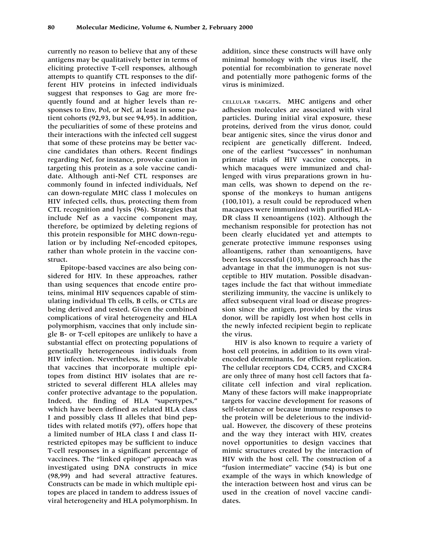currently no reason to believe that any of these antigens may be qualitatively better in terms of eliciting protective T-cell responses, although attempts to quantify CTL responses to the different HIV proteins in infected individuals suggest that responses to Gag are more frequently found and at higher levels than responses to Env, Pol, or Nef, at least in some patient cohorts (92,93, but see 94,95). In addition, the peculiarities of some of these proteins and their interactions with the infected cell suggest that some of these proteins may be better vaccine candidates than others. Recent findings regarding Nef, for instance, provoke caution in targeting this protein as a sole vaccine candidate. Although anti-Nef CTL responses are commonly found in infected individuals, Nef can down-regulate MHC class I molecules on HIV infected cells, thus, protecting them from CTL recognition and lysis (96). Strategies that include Nef as a vaccine component may, therefore, be optimized by deleting regions of this protein responsible for MHC down-regulation or by including Nef-encoded epitopes, rather than whole protein in the vaccine construct.

Epitope-based vaccines are also being considered for HIV. In these approaches, rather than using sequences that encode entire proteins, minimal HIV sequences capable of stimulating individual Th cells, B cells, or CTLs are being derived and tested. Given the combined complications of viral heterogeneity and HLA polymorphism, vaccines that only include single B- or T-cell epitopes are unlikely to have a substantial effect on protecting populations of genetically heterogeneous individuals from HIV infection. Nevertheless, it is conceivable that vaccines that incorporate multiple epitopes from distinct HIV isolates that are restricted to several different HLA alleles may confer protective advantage to the population. Indeed, the finding of HLA "supertypes," which have been defined as related HLA class I and possibly class II alleles that bind peptides with related motifs (97), offers hope that a limited number of HLA class I and class IIrestricted epitopes may be sufficient to induce T-cell responses in a significant percentage of vaccinees. The "linked epitope" approach was investigated using DNA constructs in mice (98,99) and had several attractive features. Constructs can be made in which multiple epitopes are placed in tandem to address issues of viral heterogeneity and HLA polymorphism. In

addition, since these constructs will have only minimal homology with the virus itself, the potential for recombination to generate novel and potentially more pathogenic forms of the virus is minimized.

CELLULAR TARGETS. MHC antigens and other adhesion molecules are associated with viral particles. During initial viral exposure, these proteins, derived from the virus donor, could bear antigenic sites, since the virus donor and recipient are genetically different. Indeed, one of the earliest "successes" in nonhuman primate trials of HIV vaccine concepts, in which macaques were immunized and challenged with virus preparations grown in human cells, was shown to depend on the response of the monkeys to human antigens (100,101), a result could be reproduced when macaques were immunized with purified HLA-DR class II xenoantigens (102). Although the mechanism responsible for protection has not been clearly elucidated yet and attempts to generate protective immune responses using alloantigens, rather than xenoantigens, have been less successful (103), the approach has the advantage in that the immunogen is not susceptible to HIV mutation. Possible disadvantages include the fact that without immediate sterilizing immunity, the vaccine is unlikely to affect subsequent viral load or disease progression since the antigen, provided by the virus donor, will be rapidly lost when host cells in the newly infected recipient begin to replicate the virus.

HIV is also known to require a variety of host cell proteins, in addition to its own viralencoded determinants, for efficient replication. The cellular receptors CD4, CCR5, and CXCR4 are only three of many host cell factors that facilitate cell infection and viral replication. Many of these factors will make inappropriate targets for vaccine development for reasons of self-tolerance or because immune responses to the protein will be deleterious to the individual. However, the discovery of these proteins and the way they interact with HIV, creates novel opportunities to design vaccines that mimic structures created by the interaction of HIV with the host cell. The construction of a "fusion intermediate" vaccine (54) is but one example of the ways in which knowledge of the interaction between host and virus can be used in the creation of novel vaccine candidates.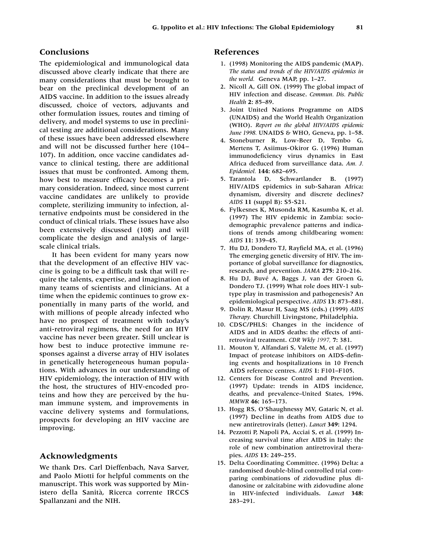### **Conclusions**

The epidemiological and immunological data discussed above clearly indicate that there are many considerations that must be brought to bear on the preclinical development of an AIDS vaccine. In addition to the issues already discussed, choice of vectors, adjuvants and other formulation issues, routes and timing of delivery, and model systems to use in preclinical testing are additional considerations. Many of these issues have been addressed elsewhere and will not be discussed further here (104– 107). In addition, once vaccine candidates advance to clinical testing, there are additional issues that must be confronted. Among them, how best to measure efficacy becomes a primary consideration. Indeed, since most current vaccine candidates are unlikely to provide complete, sterilizing immunity to infection, alternative endpoints must be considered in the conduct of clinical trials. These issues have also been extensively discussed (108) and will complicate the design and analysis of largescale clinical trials.

It has been evident for many years now that the development of an effective HIV vaccine is going to be a difficult task that will require the talents, expertise, and imagination of many teams of scientists and clinicians. At a time when the epidemic continues to grow exponentially in many parts of the world, and with millions of people already infected who have no prospect of treatment with today's anti-retroviral regimens, the need for an HIV vaccine has never been greater. Still unclear is how best to induce protective immune responses against a diverse array of HIV isolates in genetically heterogeneous human populations. With advances in our understanding of HIV epidemiology, the interaction of HIV with the host, the structures of HIV-encoded proteins and how they are perceived by the human immune system, and improvements in vaccine delivery systems and formulations, prospects for developing an HIV vaccine are improving.

### **Acknowledgments**

We thank Drs. Carl Dieffenbach, Nava Sarver, and Paolo Miotti for helpful comments on the manuscript. This work was supported by Ministero della Sanità, Ricerca corrente IRCCS Spallanzani and the NIH.

#### **References**

- 1. (1998) Monitoring the AIDS pandemic (MAP). *The status and trends of the HIV/AIDS epidemics in the world.* Geneva MAP, pp. 1–27.
- 2. Nicoll A, Gill ON. (1999) The global impact of HIV infection and disease. *Commun. Dis. Public Health* **2:** 85–89.
- 3. Joint United Nations Programme on AIDS (UNAIDS) and the World Health Organization (WHO). *Report on the global HIV/AIDS epidemic June 1998.* UNAIDS & WHO, Geneva, pp. 1–58.
- 4. Stoneburner R, Low-Beer D, Tembo G, Mertens T, Asiimus-Okiror G. (1996) Human immunodeficiency virus dynamics in East Africa deduced from surveillance data. *Am. J. Epidemiol.* **144:** 682–695.
- 5. Tarantola D, Schwartlander B. (1997) HIV/AIDS epidemics in sub-Saharan Africa: dynamism, diversity and discrete declines? *AIDS* **11** (suppl B): S5-S21.
- 6. Fylkesnes K, Musonda RM, Kasumba K, et al. (1997) The HIV epidemic in Zambia: sociodemographic prevalence patterns and indications of trends among childbearing women: *AIDS* **11:** 339–45.
- 7. Hu DJ, Dondero TJ, Rayfield MA, et al. (1996) The emerging genetic diversity of HIV. The importance of global surveillance for diagnostics, research, and prevention. *JAMA* **275:** 210–216.
- 8. Hu DJ, Buvé A, Baggs J, van der Groen G, Dondero TJ. (1999) What role does HIV-1 subtype play in trasmission and pathogenesis? An epidemiological perspective. *AIDS* **13:** 873–881.
- 9. Dolin R, Masur H, Saag MS (eds.) (1999) *AIDS Therapy.* Churchill Livingstone, Philadelphia.
- 10. CDSC/PHLS: Changes in the incidence of AIDS and in AIDS deaths: the effects of antiretroviral treatment. *CDR Wkly 1997,* **7:** 381.
- 11. Mouton Y, Alfandari S, Valette M, et al. (1997) Impact of protease inhibitors on AIDS-defining events and hospitalizations in 10 French AIDS reference centres. *AIDS* **1:** F101–F105.
- 12. Centers for Disease Control and Prevention. (1997) Update: trends in AIDS incidence, deaths, and prevalence–United States, 1996. *MMWR* **46:** 165–173.
- 13. Hogg RS, O'Shaughnessy MV, Gataric N, et al. (1997) Decline in deaths from AIDS due to new antiretrovirals (letter). *Lancet* **349:** 1294.
- 14. Pezzotti P, Napoli PA, Acciai S, et al. (1999) Increasing survival time after AIDS in Italy: the role of new combination antiretroviral therapies. *AIDS* **13:** 249–255.
- 15. Delta Coordinating Committee. (1996) Delta: a randomised double-blind controlled trial comparing combinations of zidovudine plus didanosine or zalcitabine with zidovudine alone in HIV-infected individuals. *Lancet* **348:** 283–291.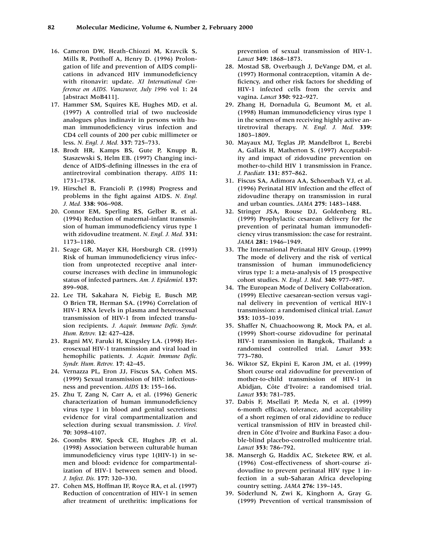- 16. Cameron DW, Heath-Chiozzi M, Kravcik S, Mills R, Potthoff A, Henry D. (1996) Prolongation of life and prevention of AIDS complications in advanced HIV immunodeficiency with ritonavir: update. *XI International Conference on AIDS. Vancouver, July 1996* vol 1: 24 [abstract MoB411].
- 17. Hammer SM, Squires KE, Hughes MD, et al. (1997) A controlled trial of two nucleoside analogues plus indinavir in persons with human immunodeficiency virus infection and CD4 cell counts of 200 per cubic millimeter or less. *N. Engl. J. Med.* **337:** 725–733.
- 18. Brodt HR, Kamps BS, Gute P, Knupp B, Staszewski S, Helm EB. (1997) Changing incidence of AIDS-defining illnesses in the era of antiretroviral combination therapy. *AIDS* **11:** 1731–1738.
- 19. Hirschel B, Francioli P. (1998) Progress and problems in the fight against AIDS. *N. Engl. J. Med.* **338:** 906–908.
- 20. Connor EM, Sperling RS, Gelber R, et al. (1994) Reduction of maternal-infant transmission of human immunodeficiency virus type 1 with zidovudine treatment. *N. Engl. J. Med.* **331:** 1173–1180.
- 21. Seage GR, Mayer KH, Horsburgh CR. (1993) Risk of human immunodeficiency virus infection from unprotected receptive anal intercourse increases with decline in immunologic status of infected partners. *Am. J. Epidemiol.* **137:** 899–908.
- 22. Lee TH, Sakahara N, Fiebig E, Busch MP, O Brien TR, Herman SA. (1996) Correlation of HIV-1 RNA levels in plasma and heterosexual transmission of HIV-1 from infected transfusion recipients. *J. Acquir. Immune Defic. Syndr. Hum. Retrov.* **12:** 427–428.
- 23. Ragni MV, Faruki H, Kingsley LA. (1998) Heterosexual HIV-1 transmission and viral load in hemophilic patients. *J. Acquir. Immune Defic. Syndr. Hum. Retrov.* **17:** 42–45.
- 24. Vernazza PL, Eron JJ, Fiscus SA, Cohen MS. (1999) Sexual transmission of HIV: infectiousness and prevention. *AIDS* **13:** 155–166.
- 25. Zhu T, Zang N, Carr A, et al. (1996) Generic characterization of human immunodeficiency virus type 1 in blood and genital secretions: evidence for viral compartmentalization and selection during sexual transmission. *J. Virol.* **70:** 3098–4107.
- 26. Coombs RW, Speck CE, Hughes JP, et al. (1998) Association between culturable human immunodeficiency virus type 1(HIV-1) in semen and blood: evidence for compartmentalization of HIV-1 between semen and blood. *J. Infect. Dis.* **177:** 320–330.
- 27. Cohen MS, Hoffman IF, Royce RA, et al. (1997) Reduction of concentration of HIV-1 in semen after treatment of urethritis: implications for

prevention of sexual transmission of HIV-1. *Lancet* **349:** 1868–1873.

- 28. Mostad SB, Overbaugh J, DeVange DM, et al. (1997) Hormonal contraception, vitamin A deficiency, and other risk factors for shedding of HIV-1 infected cells from the cervix and vagina. *Lancet* **350:** 922–927.
- 29. Zhang H, Dornadula G, Beumont M, et al. (1998) Human immunodeficiency virus type 1 in the semen of men receiving highly active antiretroviral therapy. *N. Engl. J. Med.* **339:** 1803–1809.
- 30. Mayaux MJ, Teglas JP, Mandelbrot L, Berebi A, Gallais H, Matherton S. (1997) Acceptability and impact of zidovudine prevention on mother-to-child HIV 1 transmission in France. *J. Paediatr.* **131:** 857–862.
- 31. Fiscus SA, Adimora AA, Schoenbach VJ, et al. (1996) Perinatal HIV infection and the effect of zidovudine therapy on transmission in rural and urban counties. *JAMA* **275:** 1483–1488.
- 32. Stringer JSA, Rouse DJ, Goldenberg RL. (1999) Prophylactic cesarean delivery for the prevention of perinatal human immunodeficiency virus transmission: the case for restraint. *JAMA* **281:** 1946–1949.
- 33. The International Perinatal HIV Group. (1999) The mode of delivery and the risk of vertical transmission of human immunodeficiency virus type 1: a meta-analysis of 15 prospective cohort studies. *N. Engl. J. Med.* **340:** 977–987.
- 34. The European Mode of Delivery Collaboration. (1999) Elective caesarean-section versus vaginal delivery in prevention of vertical HIV-1 transmission: a randomised clinical trial. *Lancet* **353:** 1035–1039.
- 35. Shaffer N, Chuachoowong R, Mock PA, et al. (1999) Short-course zidovudine for perinatal HIV-1 transmission in Bangkok, Thailand: a randomised controlled trial. *Lancet* **353:** 773–780.
- 36. Wiktor SZ, Ekpini E, Karon JM, et al. (1999) Short course oral zidovudine for prevention of mother-to-child transmission of HIV-1 in Abidjan, Côte d'Ivoire: a randomised trial. *Lancet* **353:** 781–785.
- 37. Dabis F, Msellati P, Meda N, et al. (1999) 6-month efficacy, tolerance, and acceptability of a short regimen of oral zidovidine to reduce vertical transmission of HIV in breasted children in Côte d'Ivoire and Burkina Faso: a double-blind placebo-controlled multicentre trial. *Lancet* **353:** 786–792.
- 38. Mansergh G, Haddix AC, Steketee RW, et al. (1996) Cost-effectiveness of short-course zidovudine to prevent perinatal HIV type 1 infection in a sub-Saharan Africa developing country setting. *JAMA* **276:** 139–145.
- 39. Söderlund N, Zwi K, Kinghorn A, Gray G. (1999) Prevention of vertical transmission of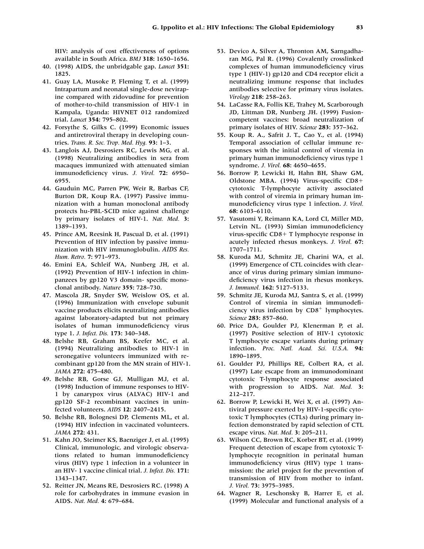HIV: analysis of cost effectiveness of options available in South Africa. *BMJ* **318:** 1650–1656.

- 40. (1998) AIDS, the unbridgable gap. *Lancet* **351:** 1825.
- 41. Guay LA, Musoke P, Fleming T, et al. (1999) Intrapartum and neonatal single-dose nevirapine compared with zidovudine for prevention of mother-to-child transmission of HIV-1 in Kampala, Uganda: HIVNET 012 randomized trial. *Lancet* **354:** 795–802.
- 42. Forsythe S, Gilks C. (1999) Economic issues and antiretroviral therapy in developing countries. *Trans. R. Soc. Trop. Med. Hyg.* **93:** 1–3.
- 43. Langlois AJ, Desrosiers RC, Lewis MG, et al. (1998) Neutralizing antibodies in sera from macaques immunized with attenuated simian immunodeficiency virus. *J. Virol.* **72:** 6950– 6955.
- 44. Gauduin MC, Parren PW, Weir R, Barbas CF, Burton DR, Koup RA. (1997) Passive immunization with a human monoclonal antibody protects hu-PBL-SCID mice against challenge by primary isolates of HIV-1. *Nat. Med.* **3:** 1389–1393.
- 45. Prince AM, Reesink H, Pascual D, et al. (1991) Prevention of HIV infection by passive immunization with HIV immunoglobulin. *AIDS Res. Hum. Retro.* **7:** 971–973.
- 46. Emini EA, Schleif WA, Nunberg JH, et al. (1992) Prevention of HIV-1 infection in chimpanzees by gp120 V3 domain- specific monoclonal antibody. *Nature* **355:** 728–730.
- 47. Mascola JR, Snyder SW, Weislow OS, et al. (1996) Immunization with envelope subunit vaccine products elicits neutralizing antibodies against laboratory-adapted but not primary isolates of human immunodeficiency virus type 1. *J. Infect. Dis.* **173:** 340–348.
- 48. Belshe RB, Graham BS, Keefer MC, et al. (1994) Neutralizing antibodies to HIV-1 in seronegative volunteers immunized with recombinant gp120 from the MN strain of HIV-1. *JAMA* **272:** 475–480.
- 49. Belshe RB, Gorse GJ, Mulligan MJ, et al. (1998) Induction of immune responses to HIV-1 by canarypox virus (ALVAC) HIV-1 and gp120 SF-2 recombinant vaccines in uninfected volunteers. *AIDS* **12:** 2407–2415.
- 50. Belshe RB, Bolognesi DP, Clements ML, et al. (1994) HIV infection in vaccinated volunteers. *JAMA* **272:** 431.
- 51. Kahn JO, Steimer KS, Baenziger J, et al. (1995) Clinical, immunologic, and virologic observations related to human immunodeficiency virus (HIV) type 1 infection in a volunteer in an HIV- 1 vaccine clinical trial. *J. Infect. Dis.* **171:** 1343–1347.
- 52. Reitter JN, Means RE, Desrosiers RC. (1998) A role for carbohydrates in immune evasion in AIDS. *Nat. Med.* **4:** 679–684.
- 53. Devico A, Silver A, Thronton AM, Sarngadharan MG, Pal R. (1996) Covalently crosslinked complexes of human immunodeficiency virus type 1 (HIV-1) gp120 and CD4 receptor elicit a neutralizing immune response that includes antibodies selective for primary virus isolates. *Virology* **218:** 258–263.
- 54. LaCasse RA, Follis KE, Trahey M, Scarborough JD, Littman DR, Nunberg JH. (1999) Fusioncompetent vaccines: broad neutralization of primary isolates of HIV. *Science* **283:** 357–362.
- 55. Koup R. A., Safrit J. T., Cao Y., et al. (1994) Temporal association of cellular immune responses with the initial control of viremia in primary human immunodeficiency virus type 1 syndrome. *J. Virol.* **68:** 4650–4655.
- 56. Borrow P, Lewicki H, Hahn BH, Shaw GM, Oldstone MBA. (1994) Virus-specific CD8 cytotoxic T-lymphocyte activity associated with control of viremia in primary human immunodeficiency virus type 1 infection. *J. Virol.* **68:** 6103–6110.
- 57. Yasutomi Y, Reimann KA, Lord CI, Miller MD, Letvin NL. (1993) Simian immunodeficiency virus-specific  $CD8+T$  lymphocyte response in acutely infected rhesus monkeys. *J. Virol.* **67:** 1707–1711.
- 58. Kuroda MJ, Schmitz JE, Charini WA, et al. (1999) Emergence of CTL coincides with clearance of virus during primary simian immunodeficiency virus infection in rhesus monkeys. *J. Immunol.* **162:** 5127–5133.
- 59. Schmitz JE, Kuroda MJ, Santra S, et al. (1999) Control of viremia in simian immunodeficiency virus infection by  $CD8<sup>+</sup>$  lymphocytes. *Science* **283:** 857–860.
- 60. Price DA, Goulder PJ, Klenerman P, et al. (1997) Positive selection of HIV-1 cytotoxic T lymphocyte escape variants during primary infection. *Proc. Natl. Acad. Sci. U.S.A.* **94:** 1890–1895.
- 61. Goulder PJ, Phillips RE, Colbert RA, et al. (1997) Late escape from an immunodominant cytotoxic T-lymphocyte response associated with progression to AIDS. *Nat. Med.* **3:** 212–217.
- 62. Borrow P, Lewicki H, Wei X, et al. (1997) Antiviral pressure exerted by HIV-1-specific cytotoxic T lymphocytes (CTLs) during primary infection demonstrated by rapid selection of CTL escape virus. *Nat. Med.* **3:** 205–211.
- 63. Wilson CC, Brown RC, Korber BT, et al. (1999) Frequent detection of escape from cytotoxic Tlymphocyte recognition in perinatal human immunodeficiency virus (HIV) type 1 transmission: the ariel project for the prevention of transmission of HIV from mother to infant. *J. Virol.* **73:** 3975–3985.
- 64. Wagner R, Leschonsky B, Harrer E, et al. (1999) Molecular and functional analysis of a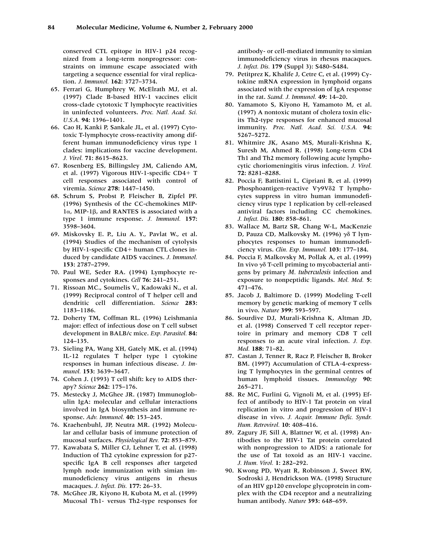conserved CTL epitope in HIV-1 p24 recognized from a long-term nonprogressor: constraints on immune escape associated with targeting a sequence essential for viral replication. *J. Immunol.* **162:** 3727–3734.

- 65. Ferrari G, Humphrey W, McElrath MJ, et al. (1997) Clade B-based HIV-1 vaccines elicit cross-clade cytotoxic T lymphocyte reactivities in uninfected volunteers. *Proc. Natl. Acad. Sci. U.S.A.* **94:** 1396–1401.
- 66. Cao H, Kanki P, Sankale JL, et al. (1997) Cytotoxic T-lymphocyte cross-reactivity among different human immunodeficiency virus type 1 clades: implications for vaccine development. *J. Virol.* **71:** 8615–8623.
- 67. Rosenberg ES, Billingsley JM, Caliendo AM, et al. (1997) Vigorous HIV-1-specific CD4+ T cell responses associated with control of viremia. *Science* **278:** 1447–1450.
- 68. Schrum S, Probst P, Fleischer B, Zipfel PF. (1996) Synthesis of the CC-chemokines MIP- $1\alpha$ , MIP-1 $\beta$ , and RANTES is associated with a type 1 immune response. *J. Immunol.* **157:** 3598–3604.
- 69. Miskovsky E. P., Liu A. Y., Pavlat W., et al. (1994) Studies of the mechanism of cytolysis by HIV-1-specific CD4+ human CTL clones induced by candidate AIDS vaccines. *J. Immunol.* **153:** 2787–2799.
- 70. Paul WE, Seder RA. (1994) Lymphocyte responses and cytokines. *Cell* **76:** 241–251.
- 71. Rissoan MC., Soumelis V., Kadowaki N., et al. (1999) Reciprocal control of T helper cell and dendritic cell differentiation. *Science* **283:** 1183–1186.
- 72. Doherty TM, Coffman RL. (1996) Leishmania major: effect of infectious dose on T cell subset development in BALB/c mice. *Exp. Parasitol.* **84:** 124–135.
- 73. Sieling PA, Wang XH, Gately MK, et al. (1994) IL-12 regulates T helper type 1 cytokine responses in human infectious disease. *J. Immunol.* **153:** 3639–3647.
- 74. Cohen J. (1993) T cell shift: key to AIDS therapy? *Science* **262:** 175–176.
- 75. Mestecky J, McGhee JR. (1987) Immunoglobulin IgA: molecular and cellular interactions involved in IgA biosynthesis and immune response. *Adv. Immunol.* **40:** 153–245.
- 76. Kraehenbuhl, JP, Neutra MR. (1992) Molecular and cellular basis of immune protection of mucosal surfaces. *Physiological Rev.* **72:** 853–879.
- 77. Kawabata S, Miller CJ, Lehner T, et al. (1998) Induction of Th2 cytokine expression for p27 specific IgA B cell responses after targeted lymph node immunization with simian immunodeficiency virus antigens in rhesus macaques. *J. Infect. Dis.* **177:** 26–33.
- 78. McGhee JR, Kiyono H, Kubota M, et al. (1999) Mucosal Th1- versus Th2-type responses for

antibody- or cell-mediated immunity to simian immunodeficiency virus in rhesus macaques. *J. Infect. Dis.* **179** (Suppl 3): S480–S484.

- 79. Petitprez K, Khalife J, Cetre C, et al. (1999) Cytokine mRNA expression in lymphoid organs associated with the expression of IgA response in the rat. *Scand. J. Immunol.* **49:** 14–20.
- 80. Yamamoto S, Kiyono H, Yamamoto M, et al. (1997) A nontoxic mutant of cholera toxin elicits Th2-type responses for enhanced mucosal immunity. *Proc. Natl. Acad. Sci. U.S.A.* **94:** 5267–5272.
- 81. Whitmire JK, Asano MS, Murali-Krishna K, Suresh M, Ahmed R. (1998) Long-term CD4 Th1 and Th2 memory following acute lymphocytic choriomeningitis virus infection. *J. Virol.* **72:** 8281–8288.
- 82. Poccia F, Battistini L, Cipriani B, et al. (1999) Phosphoantigen-reactive Vy9V82 T lymphocytes suppress in vitro human immunodeficiency virus type 1 replication by cell-released antiviral factors including CC chemokines. *J. Infect. Dis.* **180:** 858–861.
- 83. Wallace M, Bartz SR, Chang W-L, MacKenzie D, Pauza CD, Malkovsky M. (1996)  $\gamma\delta$  T lymphocytes responses to human immunodeficiency virus. *Clin. Exp. Immunol.* **103:** 177–184.
- 84. Poccia F, Malkovsky M, Pollak A, et al. (1999) In vivo  $\gamma\delta$  T-cell priming to mycobacterial antigens by primary *M. tuberculosis* infection and exposure to nonpeptidic ligands. *Mol. Med.* **5:** 471–476.
- 85. Jacob J, Baltimore D. (1999) Modeling T-cell memory by genetic marking of memory T cells in vivo. *Nature* **399:** 593–597.
- 86. Sourdive DJ, Murali-Krishna K, Altman JD, et al. (1998) Conserved T cell receptor repertoire in primary and memory CD8 T cell responses to an acute viral infection. *J. Exp. Med.* **188:** 71–82.
- 87. Castan J, Tenner R, Racz P, Fleischer B, Broker BM. (1997) Accumulation of CTLA-4-expressing T lymphocytes in the germinal centres of human lymphoid tissues. *Immunology* **90:** 265–271.
- 88. Re MC, Furlini G, Vignoli M, et al. (1995) Effect of antibody to HIV-1 Tat protein on viral replication in vitro and progression of HIV-1 disease in vivo. *J. Acquir. Immune Defic. Syndr. Hum. Retrovirol.* **10:** 408–416.
- 89. Zagury JF, Sill A, Blattner W, et al. (1998) Antibodies to the HIV-1 Tat protein correlated with nonprogression to AIDS: a rationale for the use of Tat toxoid as an HIV-1 vaccine. *J. Hum. Virol.* **1:** 282–292.
- 90. Kwong PD, Wyatt R, Robinson J, Sweet RW, Sodroski J, Hendrickson WA. (1998) Structure of an HIV gp120 envelope glycoprotein in complex with the CD4 receptor and a neutralizing human antibody. *Nature* **393:** 648–659.